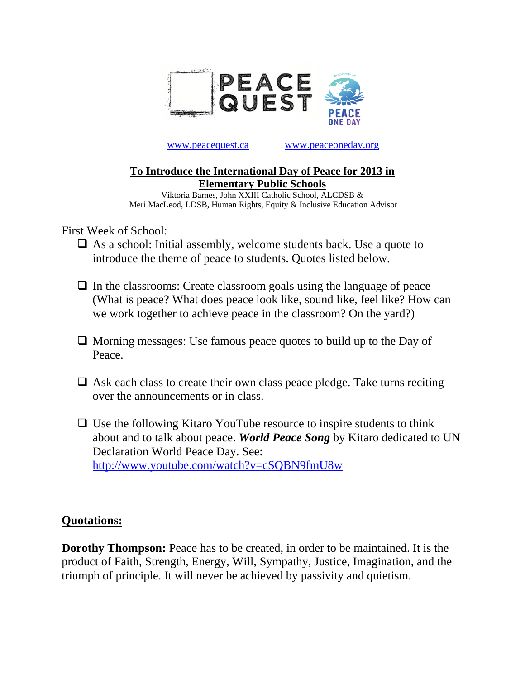

## www.peacequest.ca www.peaceoneday.org

## **To Introduce the International Day of Peace for 2013 in Elementary Public Schools**

Viktoria Barnes, John XXIII Catholic School, ALCDSB & Meri MacLeod, LDSB, Human Rights, Equity & Inclusive Education Advisor

First Week of School:

- $\Box$  As a school: Initial assembly, welcome students back. Use a quote to introduce the theme of peace to students. Quotes listed below.
- $\Box$  In the classrooms: Create classroom goals using the language of peace (What is peace? What does peace look like, sound like, feel like? How can we work together to achieve peace in the classroom? On the yard?)
- $\Box$  Morning messages: Use famous peace quotes to build up to the Day of Peace.
- $\Box$  Ask each class to create their own class peace pledge. Take turns reciting over the announcements or in class.
- $\Box$  Use the following Kitaro YouTube resource to inspire students to think about and to talk about peace. *World Peace Song* by Kitaro dedicated to UN Declaration World Peace Day. See: http://www.youtube.com/watch?v=cSQBN9fmU8w

## **Quotations:**

**Dorothy Thompson:** Peace has to be created, in order to be maintained. It is the product of Faith, Strength, Energy, Will, Sympathy, Justice, Imagination, and the triumph of principle. It will never be achieved by passivity and quietism.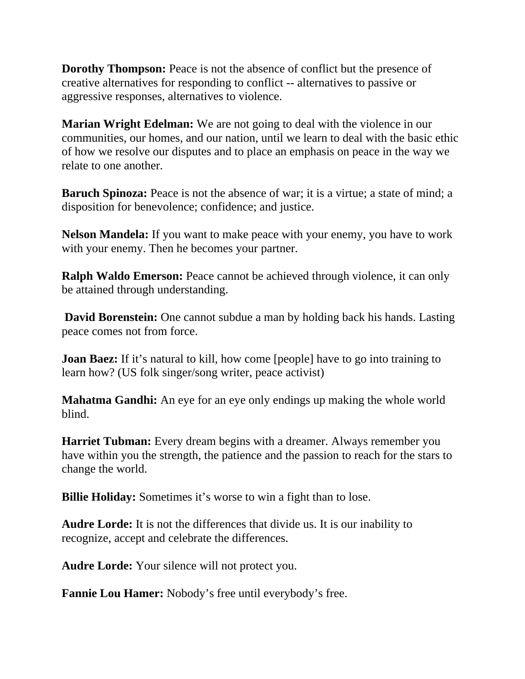**Dorothy Thompson:** Peace is not the absence of conflict but the presence of creative alternatives for responding to conflict -- alternatives to passive or aggressive responses, alternatives to violence.

**Marian Wright Edelman:** We are not going to deal with the violence in our communities, our homes, and our nation, until we learn to deal with the basic ethic of how we resolve our disputes and to place an emphasis on peace in the way we relate to one another.

**Baruch Spinoza:** Peace is not the absence of war; it is a virtue; a state of mind; a disposition for benevolence; confidence; and justice.

**Nelson Mandela:** If you want to make peace with your enemy, you have to work with your enemy. Then he becomes your partner.

**Ralph Waldo Emerson:** Peace cannot be achieved through violence, it can only be attained through understanding.

**David Borenstein:** One cannot subdue a man by holding back his hands. Lasting peace comes not from force.

**Joan Baez:** If it's natural to kill, how come [people] have to go into training to learn how? (US folk singer/song writer, peace activist)

**Mahatma Gandhi:** An eye for an eye only endings up making the whole world blind.

**Harriet Tubman:** Every dream begins with a dreamer. Always remember you have within you the strength, the patience and the passion to reach for the stars to change the world.

**Billie Holiday:** Sometimes it's worse to win a fight than to lose.

**Audre Lorde:** It is not the differences that divide us. It is our inability to recognize, accept and celebrate the differences.

**Audre Lorde:** Your silence will not protect you.

**Fannie Lou Hamer:** Nobody's free until everybody's free.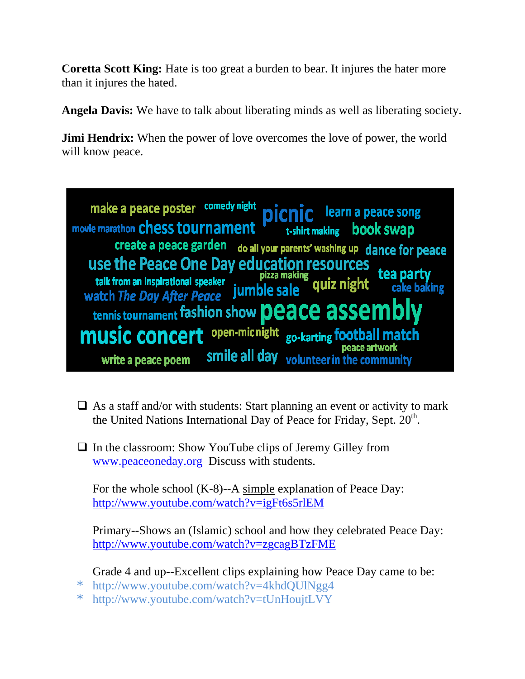**Coretta Scott King:** Hate is too great a burden to bear. It injures the hater more than it injures the hated.

**Angela Davis:** We have to talk about liberating minds as well as liberating society.

**Jimi Hendrix:** When the power of love overcomes the love of power, the world will know peace.



- $\Box$  As a staff and/or with students: Start planning an event or activity to mark the United Nations International Day of Peace for Friday, Sept.  $20<sup>th</sup>$ .
- $\Box$  In the classroom: Show YouTube clips of Jeremy Gilley from www.peaceoneday.org Discuss with students.

For the whole school (K-8)--A simple explanation of Peace Day: http://www.youtube.com/watch?v=igFt6s5rlEM

Primary--Shows an (Islamic) school and how they celebrated Peace Day: http://www.youtube.com/watch?v=zgcagBTzFME

Grade 4 and up--Excellent clips explaining how Peace Day came to be:

- \* http://www.youtube.com/watch?v=4khdQUlNgg4
- \* http://www.youtube.com/watch?v=tUnHoujtLVY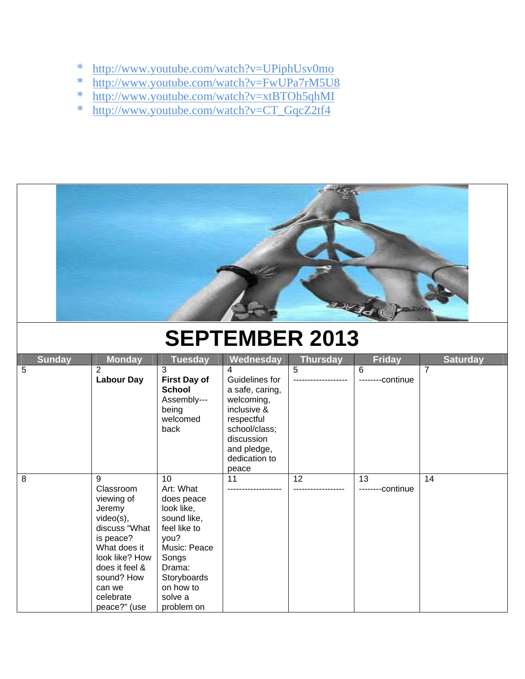- \* http://www.youtube.com/watch?v=UPiphUsv0mo
- \* http://www.youtube.com/watch?v=FwUPa7rM5U8
- \* http://www.youtube.com/watch?v=xtBTOh5qhMI
- \* http://www.youtube.com/watch?v=CT\_GqcZ2tf4



## **SEPTEMBER 2013**

| <b>Sunday</b> | <b>Monday</b>                                                                                                                                                                                 | <b>Tuesday</b>                                                                                                                                                             | Wednesday                                                                                                                                                 | <b>Thursday</b> | <b>Friday</b>     | <b>Saturday</b> |
|---------------|-----------------------------------------------------------------------------------------------------------------------------------------------------------------------------------------------|----------------------------------------------------------------------------------------------------------------------------------------------------------------------------|-----------------------------------------------------------------------------------------------------------------------------------------------------------|-----------------|-------------------|-----------------|
| 5             | $\overline{2}$<br><b>Labour Day</b>                                                                                                                                                           | 3<br><b>First Day of</b><br><b>School</b><br>Assembly---<br>being<br>welcomed<br>back                                                                                      | 4<br>Guidelines for<br>a safe, caring,<br>welcoming,<br>inclusive &<br>respectful<br>school/class;<br>discussion<br>and pledge,<br>dedication to<br>peace | 5               | 6<br>--continue   | 7               |
| 8             | 9<br>Classroom<br>viewing of<br>Jeremy<br>$video(s)$ ,<br>discuss "What<br>is peace?<br>What does it<br>look like? How<br>does it feel &<br>sound? How<br>can we<br>celebrate<br>peace?" (use | 10<br>Art: What<br>does peace<br>look like,<br>sound like,<br>feel like to<br>you?<br>Music: Peace<br>Songs<br>Drama:<br>Storyboards<br>on how to<br>solve a<br>problem on | 11                                                                                                                                                        | 12              | 13<br>---continue | 14              |